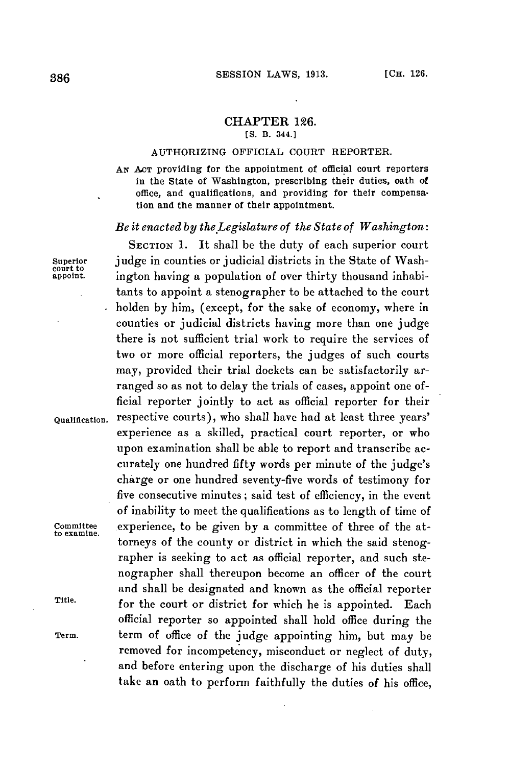## CHAPTER **126.**

**[S. B. 344.]**

## AUTHORIZING OFFICIAL **COURT** REPORTER.

**AN ACT** providing for the appointment of official court reporters in the State of Washington, prescribing their duties, oath of office, and qualifications, and providing for their compensation and the manner of their appointment.

## *Be it enacted by the.Legislature of the State of Washington:*

SECTION **1.** It shall be the duty of each superior court **Superior** judge in counties or judicial districts in the State of Washington having a population of over thirty thousand inhabitants to appoint a stenographer to be attached to the court holden **by** him, (except, for the sake of economy, where in counties or judicial districts having more than one judge there is not sufficient trial work to require the services of two or more official reporters, the judges of such courts may, provided their trial dockets can be satisfactorily arranged so as not to delay the trials of cases, appoint one official reporter jointly to act as official reporter for their **Qualification.** respective courts), who shall have bad at least three years' experience as a skilled, practical court reporter, or who upon examination shall be able to report and transcribe accurately one hundred fifty words per minute of the judge's charge or one hundred seventy-five words of testimony for five consecutive minutes; said test of efficiency, in the event of inability to meet the qualifications as to length of time of **committee** experience, to be given **by** a committee of three of the attorneys of the county or district in which the said stenographer is seeking to act as official reporter, and such stenographer shall thereupon become an officer of the court and shall be designated and known as the official reporter **Title.** for the court or district for which he is appointed. Each official reporter so appointed shall hold office during the **Term.** term of office of the **judge** appointing him, but may be removed for incompetency, misconduct or neglect of duty, and before entering upon the discharge of his duties shall take an oath to perform faithfully the duties of his office,

**to examine.**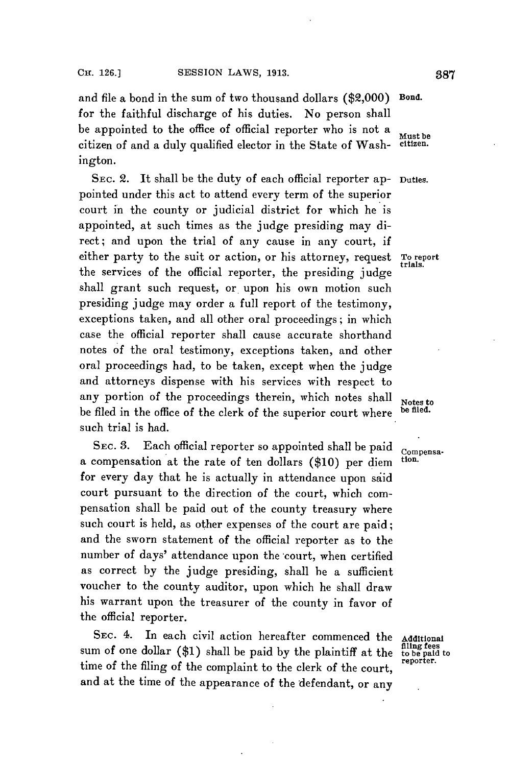and file a bond in the sum of two thousand dollars (\$2,000) Bond. for the faithful discharge of his duties. No person shall be appointed to the office of official reporter who is not a  $\frac{Must \text{ be}}{Must \text{ be}}$  of  $\frac{Must \text{ be}}{Must \text{ be}}$ citizen of and a duly qualified elector in the State of Washington.

SEc. 2. It shall be the duty of each official reporter ap- Duties. pointed under this act to attend every term of the superior court in the county or judicial district for which he is appointed, at such times as the judge presiding may direct; and upon the trial of any cause in any court, if either party to the suit or action, or his attorney, request To report the services of the official reporter, the presiding judge shall grant such request, or upon his own motion such presiding judge may order a full report of the testimony, exceptions taken, and all other oral proceedings; in which case the official reporter shall cause accurate shorthand notes of the oral testimony, exceptions taken, and other oral proceedings had, to be taken, except when the judge and attorneys dispense with his services with respect to any portion of the proceedings therein, which notes shall  $N_{\text{octest}}$  be fled. be filed in the office of the clerk of the superior court where such trial is had.

SEC. 3. Each official reporter so appointed shall be paid compensa-<br>compensation at the nata of ten dellang (\$10) gas diese tion. a compensation at the rate of ten dollars (\$10) per diem for every day that he is actually in attendance upon said court pursuant to the direction of the court, which compensation shall be paid out of the county treasury where such court is held, as other expenses of the court are paid; and the sworn statement of the official reporter as to the number of days' attendance upon the court, when certified as correct **by** the judge presiding, shall he a sufficient voucher to the county auditor, upon which he shall draw his warrant upon the treasurer of the county in favor of the official reporter.

SEC. 4. In each civil action hereafter commenced the Additional sum of one dollar (\$1) shall be paid by the plaintiff at the time of the filing of the complaint to the clerk of the court. and at the time of the appearance of the defendant, or any

filing fees<br>to be paid to<br>reporter.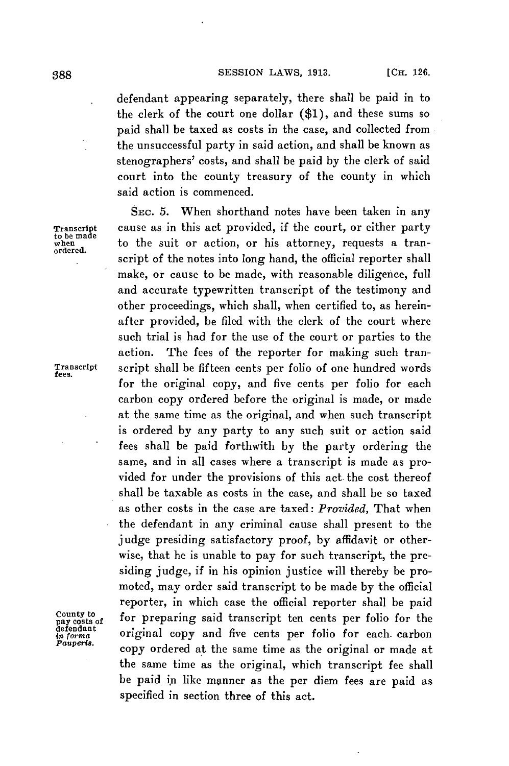defendant appearing separately, there shall be paid in to the clerk of the court one dollar **(\$1),** and these sums so paid shall be taxed as costs in the case, and collected from the unsuccessful party in said action, and shall be known as stenographers' costs, and shall be paid **by** the clerk of said court into the county treasury of the county in which said action is commenced.

**SEC. 5.** When shorthand notes have been taken in any cause as in this act provided, if the court, or either party to when to the suit or action, or his attorney, requests a transcript of the notes into long hand, the official reporter shall make, or cause to be made, with reasonable diligence, full and accurate typewritten transcript of the testimony and other proceedings, which shall, when certified to, as hereinafter provided, be filed with the clerk of the court where such trial is had for the use of the court or parties to the action. The fees of the reporter for making such tran-**Transcript** script shall be fifteen cents per folio of one hundred words **fees.** for the original copy, and five cents per folio for each carbon copy ordered before the original is made, or made at the same time as the original, and when such transcript is ordered **by** any party to any such suit or action said fees shall be paid forthwith **by** the party ordering the same, and in all cases where a transcript is made as provided for under the provisions of this act. the cost thereof shall be taxable as costs in the case, and shall be so taxed as other costs in the case are taxed: *Provided,* That when the defendant in any criminal cause shall present to the judge presiding satisfactory proof, **by** affidavit or otherwise, that **he** is unable to pay for such transcript, the presiding judge, if in his opinion justice will thereby be promoted, may order said transcript to be made **by** the official reporter, in which case the official reporter shall be paid for preparing said transcript ten cents per folio for the detendant<br>*in forma* **original copy and five cents per folio for each carbon**<br>Pauperts. copy ordered at the same time as the original or made at the same time as the original, which transcript fee shall be paid in like manner as the per diem fees are paid as specified in section three of this act.

**to be made**

County to<br>pay costs of<br>defendant<br>in forma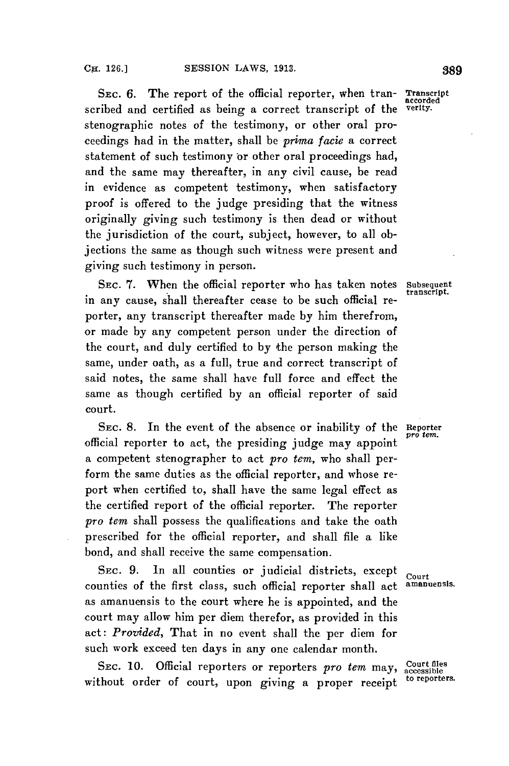SEC. **6.** The report of the official reporter, when tran- Transcript scribed and certified as being a correct transcript of the stenographic notes of the testimony, or other oral proceedings had in the matter, shall be *prima facie* a correct statement of such testimony or other oral proceedings had, and the same may thereafter, in any civil cause, be read in evidence as competent testimony, when satisfactory proof is offered to the judge presiding that the witness originally giving such testimony is then dead or without the jurisdiction of the court, subject, however, to all objections the same as though such witness were present and giving such testimony in person.

SEC. 7. When the official reporter who has taken notes Subsequent transcript. in any cause, shall thereafter cease to be such official reporter, any transcript thereafter made **by** him therefrom, or made **by** any competent person under the direction of the court, and duly certified to **by** the person making the same, under oath, as a **full,** true and correct transcript of said notes, the same shall have full force and effect the same as though certified **by** an official reporter of said court.

SEC. 8. In the event of the absence or inability of the Reporter official reporter to act, the presiding judge may appoint a competent stenographer to act *pro tem,* who shall perform the same duties as the official reporter, and whose report when certified to, shall have the same legal effect as the certified report of the official reporter. The reporter *pro tem* shall possess the qualifications and take the oath prescribed for the official reporter, and shall file a like bond, and shall receive the same compensation.

SEC. 9. In all counties or judicial districts, except court<br>unties of the first class, such official reporter shall act amanuensis. counties of the first class, such official reporter shall act as amanuensis to the court where he is appointed, and the court may allow him per diem therefor, as provided in this act: *Provided,* That in no event shall the per diem for such work exceed ten days in any one calendar month.

SEC. 10. Official reporters or reporters pro tem may, Court files without order of court, upon giving a proper receipt **to reporters.**

accorded<br>verity.